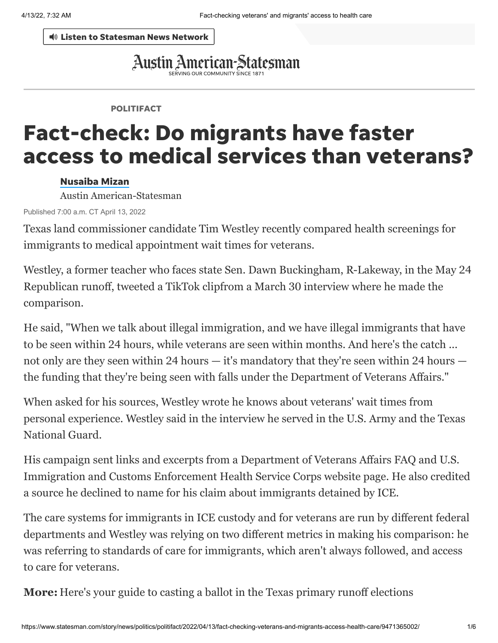Listen to [Statesman](https://player.listenlive.co/64791) News Network

# Austin American-Statesman

#### POLITIFACT

# Fact-check: Do migrants have faster access to medical services than veterans?

#### [Nusaiba](https://www.statesman.com/staff/4387122002/nusaiba-mizan/) Mizan

Austin American-Statesman

Published 7:00 a.m. CT April 13, 2022

Texas land commissioner candidate Tim Westley recently compared health screenings for immigrants to medical appointment wait times for veterans.

Westley, a former teacher who faces state Sen. Dawn Buckingham, R-Lakeway, in the May 24 Republican runoff, [tweeted a TikTok clip](https://twitter.com/DrTimWestley/status/1510784763875020818)[from a March 30 interview](https://www.facebook.com/uniteamericafirst/videos/268484032162127/) where he made the comparison.

He said, "When we talk about illegal immigration, and we have illegal immigrants that have to be seen within 24 hours, while veterans are seen within months. And here's the catch ... not only are they seen within 24 hours — it's mandatory that they're seen within 24 hours the funding that they're being seen with falls under the Department of Veterans Affairs."

When asked for his sources, Westley wrote he knows about veterans' wait times from personal experience. Westley said in the interview he served in the U.S. Army and the Texas National Guard.

His campaign sent [links and excerpts from a Department of Veterans Affairs FAQ and U.S.](https://www.ice.gov/detain/ice-health-service-corps) Immigration and Customs Enforcement Health Service Corps website page. He also credited a source he declined to name for his claim about immigrants detained by ICE.

The care systems for immigrants in ICE custody and for veterans are run by different federal departments and Westley was relying on two different metrics in making his comparison: he was referring to standards of care for immigrants, which aren't always followed, and access to care for veterans.

**More:** [Here's your guide to casting a ballot in the Texas primary runoff elections](https://www.statesman.com/story/news/local/texas/state-bureau/2022/03/17/texas-primary-runoff-election-dates-voting-mail-in-ballot-questions/7049418001/)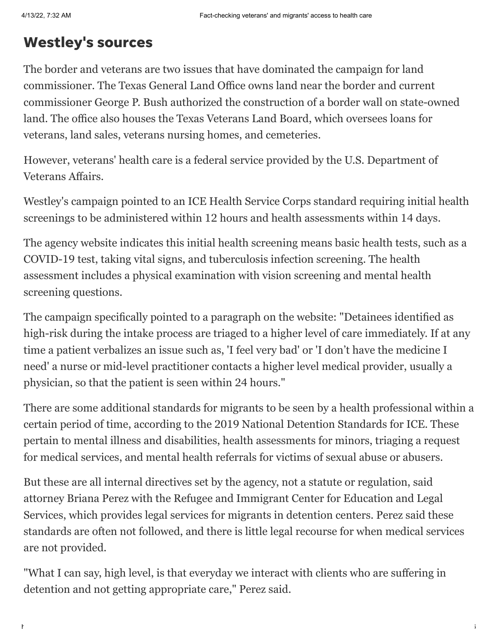### Westley's sources

The border and veterans are two issues that have dominated the campaign for land commissioner. The Texas General Land Office owns land near the border and current [commissioner George P. Bush authorized the construction of a border wall on state-owned](https://www.glo.texas.gov/the-glo/news/press-releases/2021/november/commissioner-george-p-bush-announces-agreement-authorizing-construction-of-border-wall-on-state-owned-land.html) land. The office also houses the Texas [Veterans Land Board,](https://vlb.texas.gov/about/history-mission/index.html) which oversees loans for veterans, land sales, veterans nursing homes, and cemeteries.

[However, veterans' health care is a federal](https://www.va.gov/) service provided by the U.S. Department of Veterans Affairs.

Westley's campaign pointed to an [ICE Health Service Corps](https://www.ice.gov/features/health-service-corps) standard requiring initial health screenings to be administered within 12 hours and health assessments within 14 days.

The agency website indicates this initial health screening means basic health tests, such as a COVID-19 test, taking vital signs, and tuberculosis infection screening. The health assessment includes a physical examination with vision screening and mental health screening questions.

The campaign specifically pointed to a paragraph on the website: "Detainees identified as high-risk during the intake process are triaged to a higher level of care immediately. If at any time a patient verbalizes an issue such as, 'I feel very bad' or 'I don't have the medicine I need' a nurse or mid-level practitioner contacts a higher level medical provider, usually a physician, so that the patient is seen within 24 hours."

There are some additional standards for migrants to be seen by a health professional within a certain period of time, according to the [2019 National Detention Standards for ICE](https://www.ice.gov/doclib/detention-standards/2019/nds2019.pdf). These pertain to mental illness and disabilities, health assessments for minors, triaging a request for medical services, and mental health referrals for victims of sexual abuse or abusers.

But these are all internal directives set by the agency, not a statute or regulation, said attorney Briana Perez with the Refugee and Immigrant Center for Education and Legal [Services, which provides legal services for migrants in detention centers. Perez said thes](https://www.raicestexas.org/)e standards are often not followed, and there is little legal recourse for when medical services are not provided.

"What I can say, high level, is that everyday we interact with clients who are suffering in detention and not getting appropriate care," Perez said.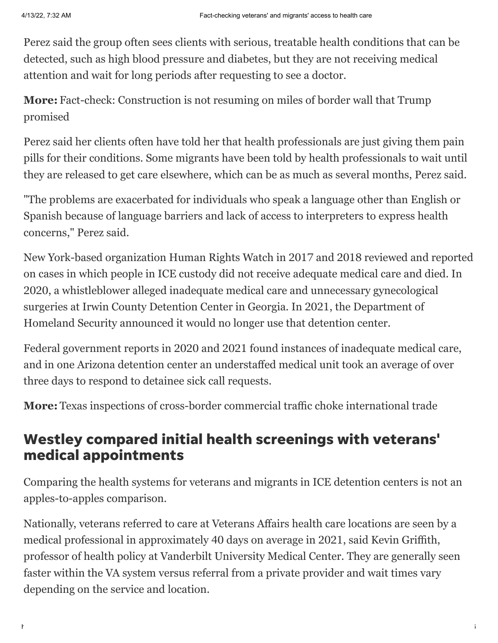Perez said the group often sees clients with serious, treatable health conditions that can be detected, such as high blood pressure and diabetes, but they are not receiving medical attention and wait for long periods after requesting to see a doctor.

**More:** [Fact-check: Construction is not resuming on miles of border wall that Trump](https://www.statesman.com/story/news/politics/politifact/2022/04/08/politifact-biden-not-resuming-trumps-border-wall-construction/9497050002/) promised

Perez said her clients often have told her that health professionals are just giving them pain pills for their conditions. Some migrants have been told by health professionals to wait until they are released to get care elsewhere, which can be as much as several months, Perez said.

"The problems are exacerbated for individuals who speak a language other than English or Spanish because of language barriers and lack of access to interpreters to express health concerns," Perez said.

New York-based organization Human Rights Watch in [2017](https://static1.squarespace.com/static/5a33042eb078691c386e7bce/t/5a9da33f0d9297a1f84f60f2/1520280385430/HRW_Report.pdf) and [2018](https://www.hrw.org/report/2018/06/20/code-red/fatal-consequences-dangerously-substandard-medical-care-immigration) reviewed and reported on cases in which people in ICE custody did not receive adequate medical care and died. In [2020, a whistleblower alleged inadequate medical care and unnecessary gynecological](https://projectsouth.org/wp-content/uploads/2020/09/OIG-ICDC-Complaint-1.pdf) surgeries [at Irwin County Detention Center in Georgia. In 2021, the Department of](https://www.dhs.gov/news/2021/05/20/ice-close-two-detention-centers) Homeland Security announced it would no longer use that detention center.

Federal government reports in [2020](https://oversight.house.gov/sites/democrats.oversight.house.gov/files/2020-09-24.%20Staff%20Report%20on%20ICE%20Contractors.pdf) and [2021](https://www.oig.dhs.gov/sites/default/files/assets/2021-04/OIG-21-30-Mar21.pdf) found instances of inadequate medical care, [and in one Arizona detention center an understaffed medical unit took an average of over](https://www.oig.dhs.gov/sites/default/files/assets/2021-04/OIG-21-30-Mar21.pdf) three days to respond to detainee sick call requests.

**More:** [Texas inspections of cross-border commercial traffic choke international trade](https://www.statesman.com/story/news/2022/04/12/governor-greg-abbott-order-stalls-commercial-traffic-texas-mexico-border-international-trade/7282949001/)

#### Westley compared initial health screenings with veterans' medical appointments

Comparing the health systems for veterans and migrants in ICE detention centers is not an apples-to-apples comparison.

Nationally, veterans referred to care at Veterans Affairs health care locations are seen by a medical professional in approximately 40 days on average in 2021, said Kevin Griffith, [professor of health policy at Vanderbilt University Medical Center. They are generally s](https://www.vumc.org/health-policy/person/kevin-griffith-phd)een faster within the VA system versus referral from a private provider and wait times vary depending on the service and location.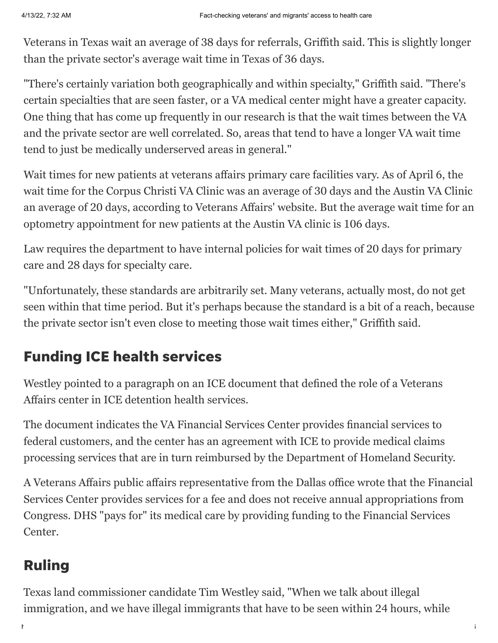Veterans in Texas wait an average of 38 days for referrals, Griffith said. This is slightly longer than the private sector's average wait time in Texas of 36 days.

"There's certainly variation both geographically and within specialty," Griffith said. "There's certain specialties that are seen faster, or a VA medical center might have a greater capacity. One thing that has come up frequently in our research is that the wait times between the VA and the private sector are well correlated. So, areas that tend to have a longer VA wait time tend to just be medically underserved areas in general."

Wait times for new patients at veterans affairs primary care facilities vary. As of April 6, the wait time for the Corpus Christi VA Clinic was an average of 30 days and the Austin VA Clinic an average of 20 days, [according to Veterans](https://www.accesstocare.va.gov/PWT/FindFacilities?LocationText=TX&ApptType=12&PatientType=1&SameDayServiceView=False&SortOrder=0&Radius=50&UserLatitude=-1&UserLongitude=-1&SameDayServiceView=false) Affairs' website. But the average wait time for an optometry appointment for new patients at the Austin VA clinic is 106 days.

Law requires the department to have internal policies for wait times of 20 days for primary care and 28 days for specialty care.

"Unfortunately, these standards are arbitrarily set. Many veterans, actually most, do not get seen within that time period. But it's perhaps because the standard is a bit of a reach, because the private sector isn't even close to meeting those wait times either," Griffith said.

## Funding ICE health services

Westley pointed to a paragraph on an ICE [document that defined the role of a Veterans](https://www.ice.gov/doclib/about/offices/ihsc/pdf/ProviderInfo.pdf) Affairs center in ICE detention health services.

The [document](https://www.ice.gov/doclib/about/offices/ihsc/pdf/ProviderInfo.pdf) indicates the VA Financial Services Center provides financial services to federal customers, and the center has an agreement with ICE to provide medical claims processing services that are in turn reimbursed by the Department of Homeland Security.

A Veterans Affairs public affairs representative from the Dallas office wrote that the Financial Services Center provides services for a fee and does not receive annual appropriations from Congress. DHS "pays for" its medical care by providing funding to the Financial Services Center.

### Ruling

Texas land commissioner candidate Tim Westley said, "When we talk about illegal immigration, and we have illegal immigrants that have to be seen within 24 hours, while

https://www.statesman.com/story/news/politics/politifact/2022/04/13/fact-checking-veterans-and-migrants-access-health-care/9471365002/ 4/6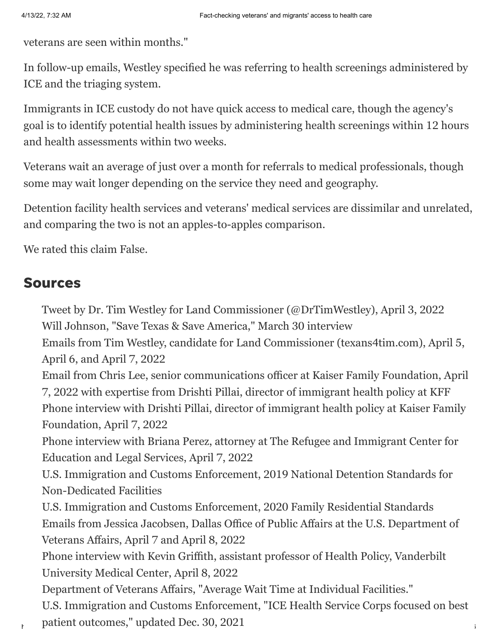veterans are seen within months."

In follow-up emails, Westley specified he was referring to health screenings administered by ICE and the triaging system.

Immigrants in ICE custody do not have quick access to medical care, though the agency's goal is to identify potential health issues by administering health screenings within 12 hours and health assessments within two weeks.

Veterans wait an average of just over a month for referrals to medical professionals, though some may wait longer depending on the service they need and geography.

Detention facility health services and veterans' medical services are dissimilar and unrelated, and comparing the two is not an apples-to-apples comparison.

We rated this claim False.

#### Sources

[Tweet by Dr. Tim Westley for Land Commissioner \(@DrTimWestley\),](https://twitter.com/DrTimWestley/status/1510784763875020818) April 3, 2022 Will Johnson, "[Save Texas & Save America,](https://www.facebook.com/uniteamericafirst/videos/268484032162127/)" March 30 interview

Emails from Tim Westley, candidate for Land Commissioner (texans4tim.com), April 5, April 6, and April 7, 2022

Email from Chris Lee, senior communications officer at [Kaiser Family Foundation](https://www.kff.org/), April 7, 2022 with expertise from Drishti Pillai, director of immigrant health policy at KFF Phone interview with Drishti Pillai, director of immigrant health policy at Kaiser Family Foundation, April 7, 2022

[Phone interview with Briana Perez, attorney at The Refugee and Immigrant Center for](https://www.raicestexas.org/) Education and Legal Services, April 7, 2022

[U.S. Immigration and Customs Enforcement, 2019 National Detention Standards for](https://www.ice.gov/doclib/detention-standards/2019/nds2019.pdf) Non-Dedicated Facilities

U.S. Immigration and Customs Enforcement, [2020 Family Residential Standards](https://www.ice.gov/doclib/frs/2020/2020family-residential-standards.pdf) Emails from Jessica Jacobsen, Dallas Office of Public Affairs at the U.S. Department of Veterans Affairs, April 7 and April 8, 2022

[Phone interview with Kevin Griffith, assistant professor of Health Policy, Vanderbilt](https://www.vumc.org/health-policy/person/kevin-griffith-phd) University Medical Center, April 8, 2022

Department of Veterans Affairs, "[Average Wait Time at Individual Facilities.](https://www.accesstocare.va.gov/PWT/FindFacilities?LocationText=TX&ApptType=12&PatientType=1&SameDayServiceView=False&SortOrder=0&Radius=50&UserLatitude=-1&UserLongitude=-1&SameDayServiceView=false)" [U.S. Immigration and Customs Enforcement, "ICE Health Service Corps focused on best](https://www.ice.gov/features/health-service-corps)

patient outcomes," updated Dec. 30, 2021  $\blacksquare$